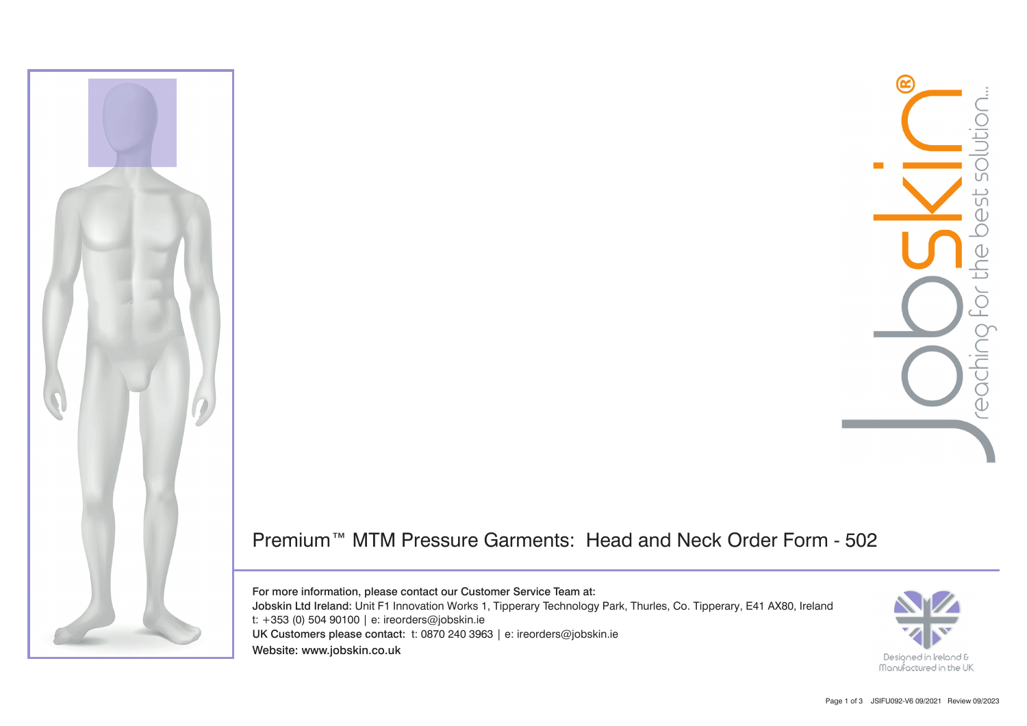

## Premium™ MTM Pressure Garments: Head and Neck Order Form - 502

For more information, please contact our Customer Service Team at: Jobskin Ltd Ireland: Unit F1 Innovation Works 1, Tipperary Technology Park, Thurles, Co. Tipperary, E41 AX80, Ireland t: +353 (0) 504 90100 | e: ireorders@jobskin.ie UK Customers please contact: t: 0870 240 3963 | e: ireorders@jobskin.ie Website: www.jobskin.co.uk

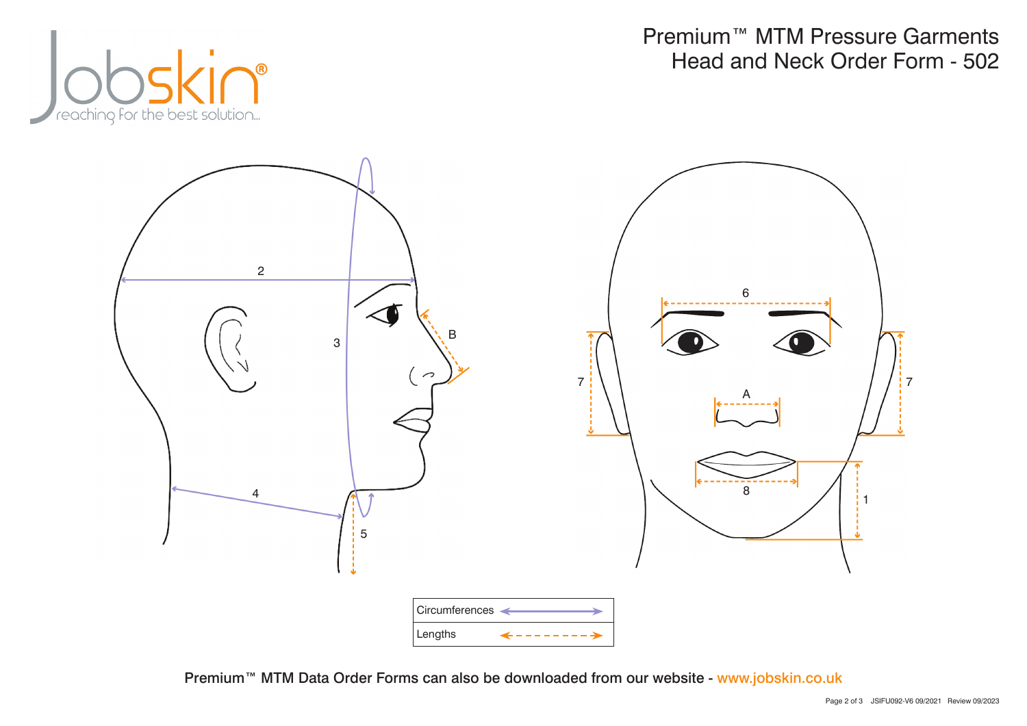

Premium™ MTM Pressure Garments Head and Neck Order Form - 502



Premium™ MTM Data Order Forms can also be downloaded from our website - www.jobskin.co.uk